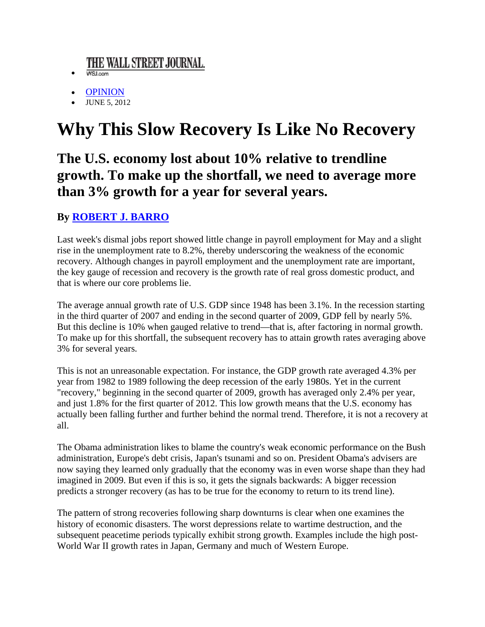## THE WALL STREET JOURNAL.

- WSJ.com
- **OPINION**
- **JUNE 5, 2012**

## **Why This Slow Recovery Is Like No Recovery**

## The U.S. economy lost about 10% relative to trendline growth. To make up the shortfall, we need to average more than 3% growth for a year for several years.

## **By ROBERT J. BARRO**

Last week's dismal jobs report showed little change in payroll employment for May and a slight rise in the unemployment rate to 8.2%, thereby underscoring the weakness of the economic recovery. Although changes in payroll employment and the unemployment rate are important, the key gauge of recession and recovery is the growth rate of real gross domestic product, and that is where our core problems lie.

The average annual growth rate of U.S. GDP since 1948 has been 3.1%. In the recession starting in the third quarter of 2007 and ending in the second quarter of 2009, GDP fell by nearly 5%. But this decline is 10% when gauged relative to trend—that is, after factoring in normal growth. To make up for this shortfall, the subsequent recovery has to attain growth rates averaging above 3% for several years.

This is not an unreasonable expectation. For instance, the GDP growth rate averaged 4.3% per year from 1982 to 1989 following the deep recession of the early 1980s. Yet in the current "recovery," beginning in the second quarter of 2009, growth has averaged only 2.4% per year, and just 1.8% for the first quarter of 2012. This low growth means that the U.S. economy has actually been falling further and further behind the normal trend. Therefore, it is not a recovery at all.

The Obama administration likes to blame the country's weak economic performance on the Bush administration, Europe's debt crisis, Japan's tsunami and so on. President Obama's advisers are now saying they learned only gradually that the economy was in even worse shape than they had imagined in 2009. But even if this is so, it gets the signals backwards: A bigger recession predicts a stronger recovery (as has to be true for the economy to return to its trend line).

The pattern of strong recoveries following sharp downturns is clear when one examines the history of economic disasters. The worst depressions relate to wartime destruction, and the subsequent peacetime periods typically exhibit strong growth. Examples include the high post-World War II growth rates in Japan, Germany and much of Western Europe.